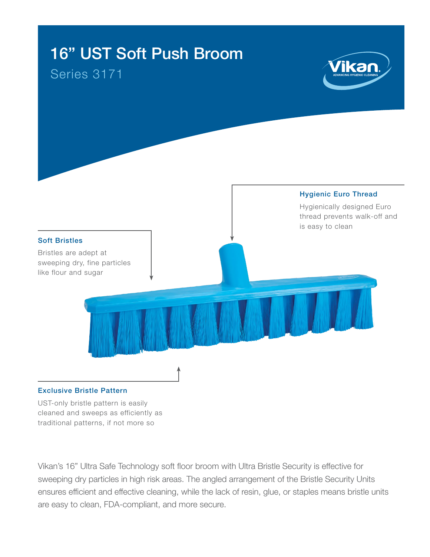

UST-only bristle pattern is easily cleaned and sweeps as efficiently as traditional patterns, if not more so

Vikan's 16" Ultra Safe Technology soft floor broom with Ultra Bristle Security is effective for sweeping dry particles in high risk areas. The angled arrangement of the Bristle Security Units ensures efficient and effective cleaning, while the lack of resin, glue, or staples means bristle units are easy to clean, FDA-compliant, and more secure.